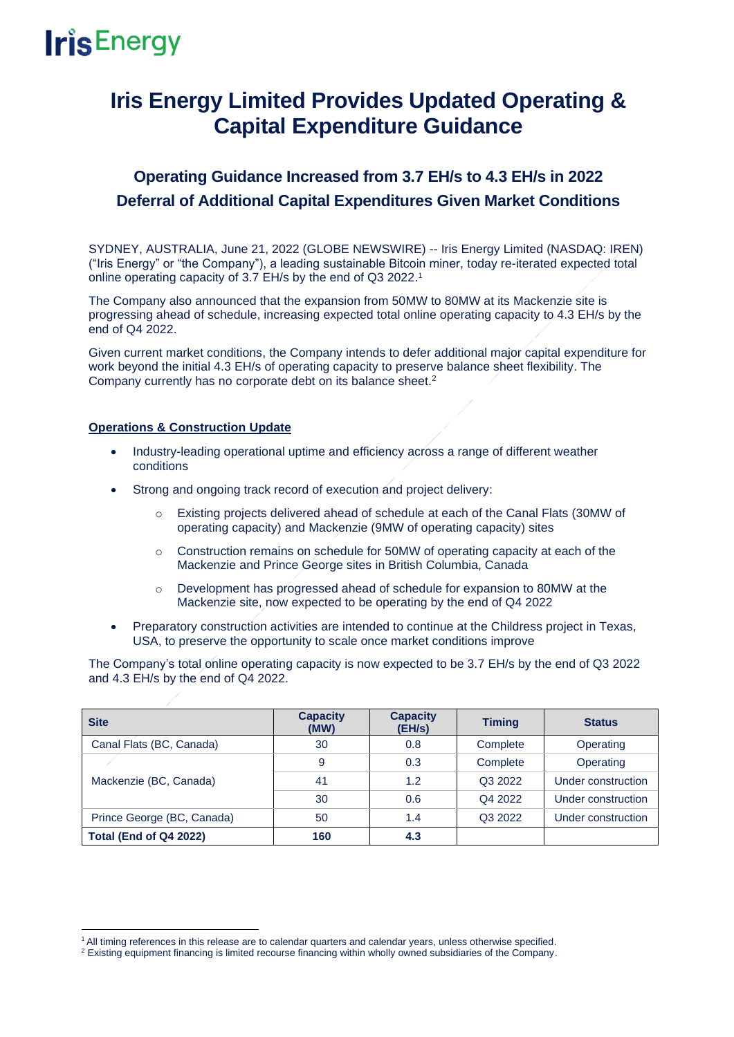### **Iris Energy Limited Provides Updated Operating & Capital Expenditure Guidance**

### **Operating Guidance Increased from 3.7 EH/s to 4.3 EH/s in 2022 Deferral of Additional Capital Expenditures Given Market Conditions**

SYDNEY, AUSTRALIA, June 21, 2022 (GLOBE NEWSWIRE) -- [Iris Energy Limited \(](https://irisenergy.co/)NASDAQ: [IREN\)](https://www.globenewswire.com/en/search/organization/IRIS%2520ENERGY%2520LIMITED?page=1) ("Iris Energy" or "the Company"), a leading sustainable Bitcoin miner, today re-iterated expected total online operating capacity of 3.7 EH/s by the end of Q3 2022. 1

The Company also announced that the expansion from 50MW to 80MW at its Mackenzie site is progressing ahead of schedule, increasing expected total online operating capacity to 4.3 EH/s by the end of Q4 2022.

Given current market conditions, the Company intends to defer additional major capital expenditure for work beyond the initial 4.3 EH/s of operating capacity to preserve balance sheet flexibility. The Company currently has no corporate debt on its balance sheet. 2

#### **Operations & Construction Update**

- Industry-leading operational uptime and efficiency across a range of different weather conditions
- Strong and ongoing track record of execution and project delivery:
	- Existing projects delivered ahead of schedule at each of the Canal Flats (30MW of operating capacity) and Mackenzie (9MW of operating capacity) sites
	- o Construction remains on schedule for 50MW of operating capacity at each of the Mackenzie and Prince George sites in British Columbia, Canada
	- o Development has progressed ahead of schedule for expansion to 80MW at the Mackenzie site, now expected to be operating by the end of Q4 2022
- Preparatory construction activities are intended to continue at the Childress project in Texas, USA, to preserve the opportunity to scale once market conditions improve

The Company's total online operating capacity is now expected to be 3.7 EH/s by the end of Q3 2022 and 4.3 EH/s by the end of Q4 2022.

| <b>Site</b>                   | <b>Capacity</b><br>(MW) | <b>Capacity</b><br>(EH/s) | <b>Timing</b> | <b>Status</b>      |
|-------------------------------|-------------------------|---------------------------|---------------|--------------------|
| Canal Flats (BC, Canada)      | 30                      | 0.8                       | Complete      | Operating          |
|                               | 9                       | 0.3                       | Complete      | Operating          |
| Mackenzie (BC, Canada)        | 41                      | 1.2                       | Q3 2022       | Under construction |
|                               | 30                      | 0.6                       | Q4 2022       | Under construction |
| Prince George (BC, Canada)    | 50                      | 1.4                       | Q3 2022       | Under construction |
| <b>Total (End of Q4 2022)</b> | 160                     | 4.3                       |               |                    |

<sup>1</sup> All timing references in this release are to calendar quarters and calendar years, unless otherwise specified.

<sup>2</sup> Existing equipment financing is limited recourse financing within wholly owned subsidiaries of the Company.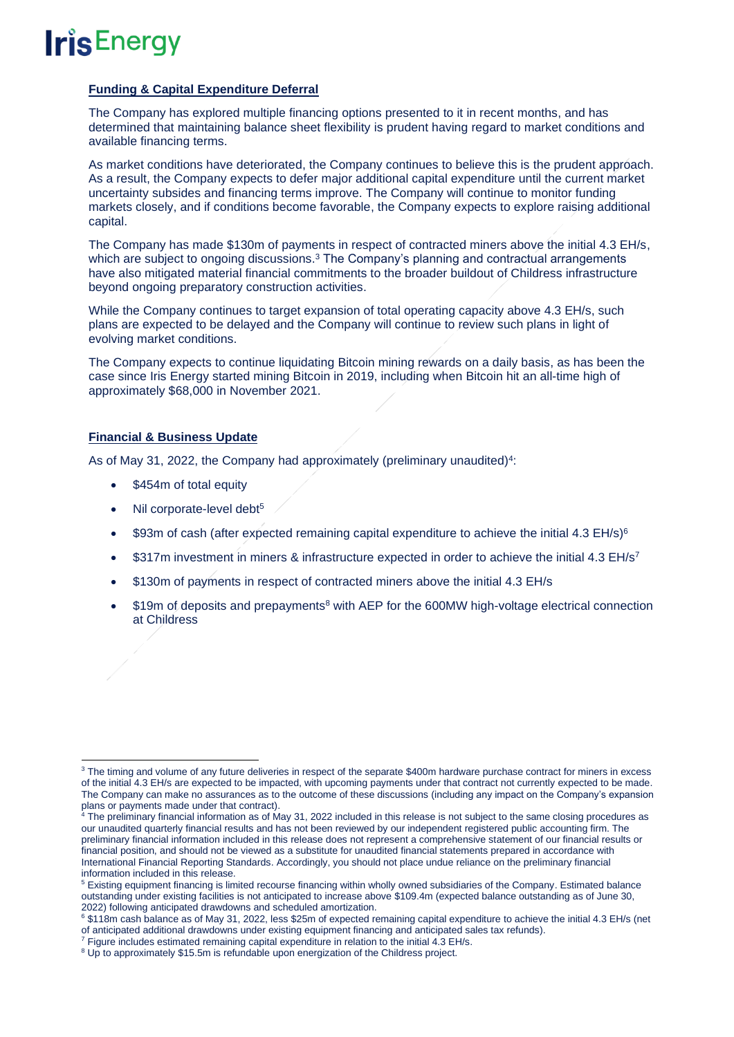### **Funding & Capital Expenditure Deferral**

The Company has explored multiple financing options presented to it in recent months, and has determined that maintaining balance sheet flexibility is prudent having regard to market conditions and available financing terms.

As market conditions have deteriorated, the Company continues to believe this is the prudent approach. As a result, the Company expects to defer major additional capital expenditure until the current market uncertainty subsides and financing terms improve. The Company will continue to monitor funding markets closely, and if conditions become favorable, the Company expects to explore raising additional capital.

The Company has made \$130m of payments in respect of contracted miners above the initial 4.3 EH/s, which are subject to ongoing discussions. <sup>3</sup> The Company's planning and contractual arrangements have also mitigated material financial commitments to the broader buildout of Childress infrastructure beyond ongoing preparatory construction activities.

While the Company continues to target expansion of total operating capacity above 4.3 EH/s, such plans are expected to be delayed and the Company will continue to review such plans in light of evolving market conditions.

The Company expects to continue liquidating Bitcoin mining rewards on a daily basis, as has been the case since Iris Energy started mining Bitcoin in 2019, including when Bitcoin hit an all-time high of approximately \$68,000 in November 2021.

#### **Financial & Business Update**

As of May 31, 2022, the Company had approximately (preliminary unaudited)<sup>4</sup>:

- \$454m of total equity
- Nil corporate-level debt<sup>5</sup>
- \$93m of cash (after expected remaining capital expenditure to achieve the initial 4.3  $EH/s$ )<sup>6</sup>
- \$317m investment in miners & infrastructure expected in order to achieve the initial 4.3 EH/s<sup>7</sup>
- \$130m of payments in respect of contracted miners above the initial 4.3 EH/s
- $$19m$  of deposits and prepayments<sup>8</sup> with AEP for the 600MW high-voltage electrical connection at Childress

<sup>&</sup>lt;sup>3</sup> The timing and volume of any future deliveries in respect of the separate \$400m hardware purchase contract for miners in excess of the initial 4.3 EH/s are expected to be impacted, with upcoming payments under that contract not currently expected to be made. The Company can make no assurances as to the outcome of these discussions (including any impact on the Company's expansion plans or payments made under that contract).

<sup>&</sup>lt;sup>4</sup> The preliminary financial information as of May 31, 2022 included in this release is not subject to the same closing procedures as our unaudited quarterly financial results and has not been reviewed by our independent registered public accounting firm. The preliminary financial information included in this release does not represent a comprehensive statement of our financial results or financial position, and should not be viewed as a substitute for unaudited financial statements prepared in accordance with International Financial Reporting Standards. Accordingly, you should not place undue reliance on the preliminary financial information included in this release.

<sup>&</sup>lt;sup>5</sup> Existing equipment financing is limited recourse financing within wholly owned subsidiaries of the Company. Estimated balance outstanding under existing facilities is not anticipated to increase above \$109.4m (expected balance outstanding as of June 30, 2022) following anticipated drawdowns and scheduled amortization.

<sup>6</sup> \$118m cash balance as of May 31, 2022, less \$25m of expected remaining capital expenditure to achieve the initial 4.3 EH/s (net of anticipated additional drawdowns under existing equipment financing and anticipated sales tax refunds).

<sup>7</sup> Figure includes estimated remaining capital expenditure in relation to the initial 4.3 EH/s.

<sup>&</sup>lt;sup>8</sup> Up to approximately \$15.5m is refundable upon energization of the Childress project.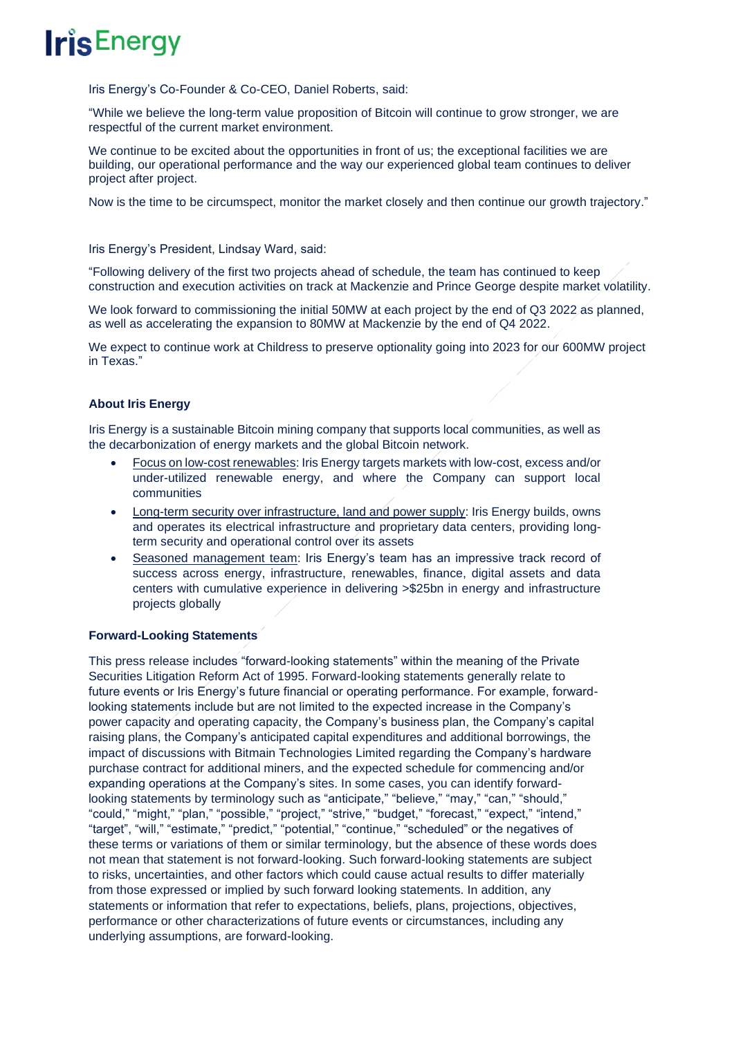Iris Energy's Co-Founder & Co-CEO, Daniel Roberts, said:

"While we believe the long-term value proposition of Bitcoin will continue to grow stronger, we are respectful of the current market environment.

We continue to be excited about the opportunities in front of us; the exceptional facilities we are building, our operational performance and the way our experienced global team continues to deliver project after project.

Now is the time to be circumspect, monitor the market closely and then continue our growth trajectory."

Iris Energy's President, Lindsay Ward, said:

"Following delivery of the first two projects ahead of schedule, the team has continued to keep construction and execution activities on track at Mackenzie and Prince George despite market volatility.

We look forward to commissioning the initial 50MW at each project by the end of Q3 2022 as planned, as well as accelerating the expansion to 80MW at Mackenzie by the end of Q4 2022.

We expect to continue work at Childress to preserve optionality going into 2023 for our 600MW project in Texas."

### **About Iris Energy**

Iris Energy is a sustainable Bitcoin mining company that supports local communities, as well as the decarbonization of energy markets and the global Bitcoin network.

- Focus on low-cost renewables: Iris Energy targets markets with low-cost, excess and/or under-utilized renewable energy, and where the Company can support local communities
- Long-term security over infrastructure, land and power supply: Iris Energy builds, owns and operates its electrical infrastructure and proprietary data centers, providing longterm security and operational control over its assets
- Seasoned management team: Iris Energy's team has an impressive track record of success across energy, infrastructure, renewables, finance, digital assets and data centers with cumulative experience in delivering >\$25bn in energy and infrastructure projects globally

### **Forward-Looking Statements**

This press release includes "forward-looking statements" within the meaning of the Private Securities Litigation Reform Act of 1995. Forward-looking statements generally relate to future events or Iris Energy's future financial or operating performance. For example, forwardlooking statements include but are not limited to the expected increase in the Company's power capacity and operating capacity, the Company's business plan, the Company's capital raising plans, the Company's anticipated capital expenditures and additional borrowings, the impact of discussions with Bitmain Technologies Limited regarding the Company's hardware purchase contract for additional miners, and the expected schedule for commencing and/or expanding operations at the Company's sites. In some cases, you can identify forwardlooking statements by terminology such as "anticipate," "believe," "may," "can," "should," "could," "might," "plan," "possible," "project," "strive," "budget," "forecast," "expect," "intend," "target", "will," "estimate," "predict," "potential," "continue," "scheduled" or the negatives of these terms or variations of them or similar terminology, but the absence of these words does not mean that statement is not forward-looking. Such forward-looking statements are subject to risks, uncertainties, and other factors which could cause actual results to differ materially from those expressed or implied by such forward looking statements. In addition, any statements or information that refer to expectations, beliefs, plans, projections, objectives, performance or other characterizations of future events or circumstances, including any underlying assumptions, are forward-looking.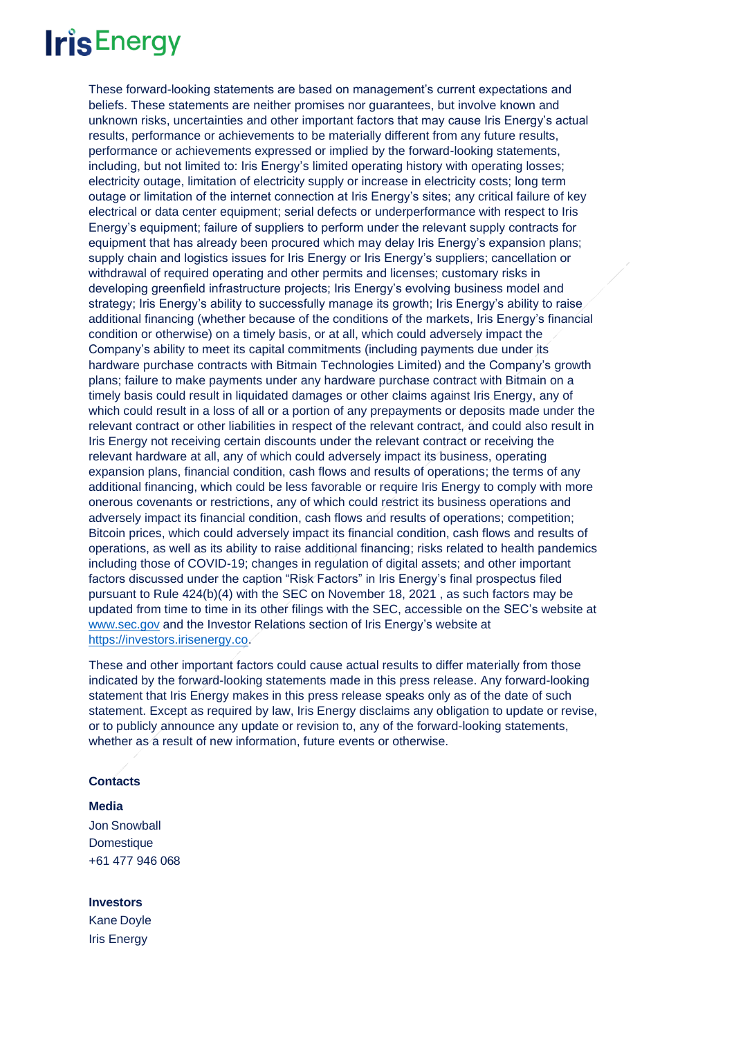These forward-looking statements are based on management's current expectations and beliefs. These statements are neither promises nor guarantees, but involve known and unknown risks, uncertainties and other important factors that may cause Iris Energy's actual results, performance or achievements to be materially different from any future results, performance or achievements expressed or implied by the forward-looking statements, including, but not limited to: Iris Energy's limited operating history with operating losses; electricity outage, limitation of electricity supply or increase in electricity costs; long term outage or limitation of the internet connection at Iris Energy's sites; any critical failure of key electrical or data center equipment; serial defects or underperformance with respect to Iris Energy's equipment; failure of suppliers to perform under the relevant supply contracts for equipment that has already been procured which may delay Iris Energy's expansion plans; supply chain and logistics issues for Iris Energy or Iris Energy's suppliers; cancellation or withdrawal of required operating and other permits and licenses; customary risks in developing greenfield infrastructure projects; Iris Energy's evolving business model and strategy; Iris Energy's ability to successfully manage its growth; Iris Energy's ability to raise additional financing (whether because of the conditions of the markets, Iris Energy's financial condition or otherwise) on a timely basis, or at all, which could adversely impact the Company's ability to meet its capital commitments (including payments due under its hardware purchase contracts with Bitmain Technologies Limited) and the Company's growth plans; failure to make payments under any hardware purchase contract with Bitmain on a timely basis could result in liquidated damages or other claims against Iris Energy, any of which could result in a loss of all or a portion of any prepayments or deposits made under the relevant contract or other liabilities in respect of the relevant contract, and could also result in Iris Energy not receiving certain discounts under the relevant contract or receiving the relevant hardware at all, any of which could adversely impact its business, operating expansion plans, financial condition, cash flows and results of operations; the terms of any additional financing, which could be less favorable or require Iris Energy to comply with more onerous covenants or restrictions, any of which could restrict its business operations and adversely impact its financial condition, cash flows and results of operations; competition; Bitcoin prices, which could adversely impact its financial condition, cash flows and results of operations, as well as its ability to raise additional financing; risks related to health pandemics including those of COVID-19; changes in regulation of digital assets; and other important factors discussed under the caption "Risk Factors" in Iris Energy's final prospectus filed pursuant to Rule 424(b)(4) with the SEC on November 18, 2021 , as such factors may be updated from time to time in its other filings with the SEC, accessible on the SEC's website at [www.sec.gov](http://www.sec.gov/) and the Investor Relations section of Iris Energy's website at [https://investors.irisenergy.co.](https://investors.irisenergy.co/)

These and other important factors could cause actual results to differ materially from those indicated by the forward-looking statements made in this press release. Any forward-looking statement that Iris Energy makes in this press release speaks only as of the date of such statement. Except as required by law, Iris Energy disclaims any obligation to update or revise, or to publicly announce any update or revision to, any of the forward-looking statements, whether as a result of new information, future events or otherwise.

#### **Contacts**

### **Media** Jon Snowball **Domestique** +61 477 946 068

**Investors**  Kane Doyle Iris Energy